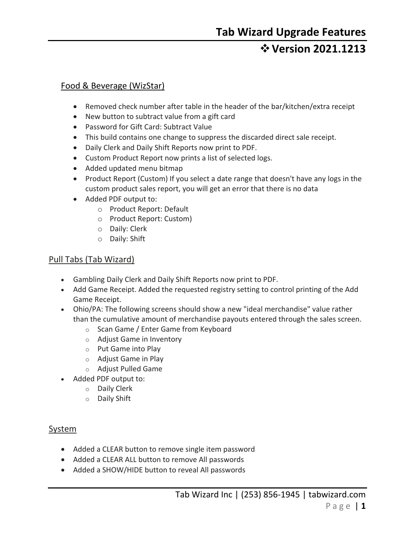## **Version 2021.1213**

### Food & Beverage (WizStar)

- Removed check number after table in the header of the bar/kitchen/extra receipt
- New button to subtract value from a gift card
- Password for Gift Card: Subtract Value
- This build contains one change to suppress the discarded direct sale receipt.
- Daily Clerk and Daily Shift Reports now print to PDF.
- Custom Product Report now prints a list of selected logs.
- Added updated menu bitmap
- Product Report (Custom) If you select a date range that doesn't have any logs in the custom product sales report, you will get an error that there is no data
- Added PDF output to:
	- o Product Report: Default
	- o Product Report: Custom)
	- o Daily: Clerk
	- o Daily: Shift

#### Pull Tabs (Tab Wizard)

- Gambling Daily Clerk and Daily Shift Reports now print to PDF.
- Add Game Receipt. Added the requested registry setting to control printing of the Add Game Receipt.
- Ohio/PA: The following screens should show a new "ideal merchandise" value rather than the cumulative amount of merchandise payouts entered through the sales screen.
	- o Scan Game / Enter Game from Keyboard
	- o Adjust Game in Inventory
	- o Put Game into Play
	- o Adjust Game in Play
	- o Adjust Pulled Game
- Added PDF output to:
	- o Daily Clerk
	- o Daily Shift

#### System

- Added a CLEAR button to remove single item password
- Added a CLEAR ALL button to remove All passwords
- Added a SHOW/HIDE button to reveal All passwords